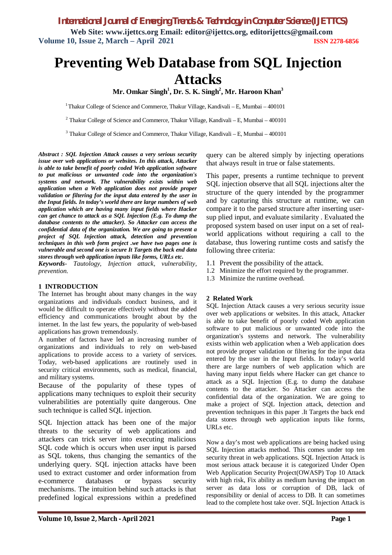# **Preventing Web Database from SQL Injection Attacks**

**Mr. Omkar Singh<sup>1</sup> , Dr. S. K. Singh<sup>2</sup> , Mr. Haroon Khan<sup>3</sup>**

<sup>1</sup>Thakur College of Science and Commerce, Thakur Village, Kandivali – E, Mumbai –  $400101$ 

 $2$  Thakur College of Science and Commerce, Thakur Village, Kandivali – E, Mumbai – 400101

 $3$  Thakur College of Science and Commerce, Thakur Village, Kandivali – E, Mumbai – 400101

*Abstract : SQL Injection Attack causes a very serious security issue over web applications or websites. In this attack, Attacker is able to take benefit of poorly coded Web application software to put malicious or unwanted code into the organization's systems and network. The vulnerability exists within web application when a Web application does not provide proper validation or filtering for the input data entered by the user in the Input fields. In today's world there are large numbers of web application which are having many input fields where Hacker can get chance to attack as a SQL Injection (E.g. To dump the database contents to the attacker). So Attacker can access the confidential data of the organization. We are going to present a project of SQL Injection attack, detection and prevention techniques in this web form project .we have two pages one is vulnerable and second one is secure It Targets the back end data stores through web application inputs like forms, URLs etc.*

*Keywords- Tautology, Injection attack, vulnerability, prevention.*

#### **1 INTRODUCTION**

The Internet has brought about many changes in the way organizations and individuals conduct business, and it would be difficult to operate effectively without the added efficiency and communications brought about by the internet. In the last few years, the popularity of web-based applications has grown tremendously.

A number of factors have led an increasing number of organizations and individuals to rely on web-based applications to provide access to a variety of services. Today, web-based applications are routinely used in security critical environments, such as medical, financial, and military systems.

Because of the popularity of these types of applications many techniques to exploit their security vulnerabilities are potentially quite dangerous. One such technique is called SQL injection.

SQL Injection attack has been one of the major threats to the security of web applications and attackers can trick server into executing malicious SQL code which is occurs when user input is parsed as SQL tokens, thus changing the semantics of the underlying query. SQL injection attacks have been used to extract customer and order information from e-commerce databases or bypass security mechanisms. The intuition behind such attacks is that predefined logical expressions within a predefined

query can be altered simply by injecting operations that always result in true or false statements.

This paper, presents a runtime technique to prevent SQL injection observe that all SQL injections alter the structure of the query intended by the programmer and by capturing this structure at runtime, we can compare it to the parsed structure after inserting usersup plied input, and evaluate similarity . Evaluated the proposed system based on user input on a set of realworld applications without requiring a call to the database, thus lowering runtime costs and satisfy the following three criteria:

- 1.1 Prevent the possibility of the attack.
- 1.2 Minimize the effort required by the programmer.
- 1.3 Minimize the runtime overhead.

#### **2 Related Work**

SQL Injection Attack causes a very serious security issue over web applications or websites. In this attack, Attacker is able to take benefit of poorly coded Web application software to put malicious or unwanted code into the organization's systems and network. The vulnerability exists within web application when a Web application does not provide proper validation or filtering for the input data entered by the user in the Input fields. In today's world there are large numbers of web application which are having many input fields where Hacker can get chance to attack as a SQL Injection (E.g. to dump the database contents to the attacker. So Attacker can access the confidential data of the organization. We are going to make a project of SQL Injection attack, detection and prevention techniques in this paper .It Targets the back end data stores through web application inputs like forms, URLs etc.

Now a day's most web applications are being hacked using SQL Injection attacks method. This comes under top ten security threat in web applications. SQL Injection Attack is most serious attack because it is categorized Under Open Web Application Security Project(OWASP) Top 10 Attack with high risk, Fix ability as medium having the impact on server as data loss or corruption of DB, lack of responsibility or denial of access to DB. It can sometimes lead to the complete host take over. SQL Injection Attack is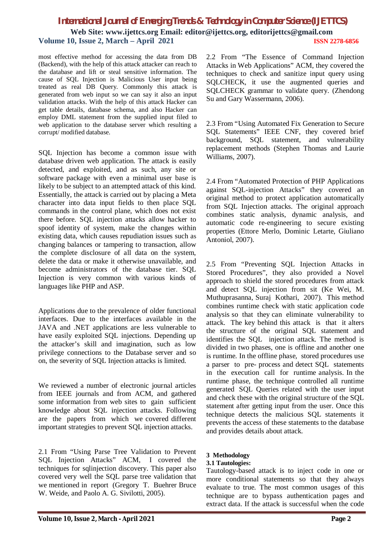# *International Journal of Emerging Trends & Technology in Computer Science (IJETTCS)* **Web Site: www.ijettcs.org Email: editor@ijettcs.org, editorijettcs@gmail.com Volume 10, Issue 2, March – April 2021 ISSN 2278-6856**

most effective method for accessing the data from DB (Backend), with the help of this attack attacker can reach to the database and lift or steal sensitive information. The cause of SQL Injection is Malicious User input being treated as real DB Query. Commonly this attack is generated from web input so we can say it also an input validation attacks. With the help of this attack Hacker can get table details, database schema, and also Hacker can employ DML statement from the supplied input filed to web application to the database server which resulting a corrupt/ modified database.

SQL Injection has become a common issue with database driven web application. The attack is easily detected, and exploited, and as such, any site or software package with even a minimal user base is likely to be subject to an attempted attack of this kind. Essentially, the attack is carried out by placing a Meta character into data input fields to then place SQL commands in the control plane, which does not exist there before. SQL injection attacks allow hacker to spoof identity of system, make the changes within existing data, which causes repudiation issues such as changing balances or tampering to transaction, allow the complete disclosure of all data on the system, delete the data or make it otherwise unavailable, and become administrators of the database tier. SQL Injection is very common with various kinds of languages like PHP and ASP.

Applications due to the prevalence of older functional interfaces. Due to the interfaces available in the JAVA and .NET applications are less vulnerable to have easily exploited SQL injections. Depending up the attacker's skill and imagination, such as low privilege connections to the Database server and so on, the severity of SQL Injection attacks is limited.

We reviewed a number of electronic journal articles from IEEE journals and from ACM, and gathered some information from web sites to gain sufficient knowledge about SQL injection attacks. Following are the papers from which we covered different important strategies to prevent SQL injection attacks.

2.1 From "Using Parse Tree Validation to Prevent SQL Injection Attacks" ACM, I covered the techniques for sqlinjection discovery. This paper also covered very well the SQL parse tree validation that we mentioned in report (Gregory T. Buehrer Bruce W. Weide, and Paolo A. G. Sivilotti, 2005).

2.2 From "The Essence of Command Injection Attacks in Web Applications" ACM, they covered the techniques to check and sanitize input query using SQLCHECK, it use the augmented queries and SQLCHECK grammar to validate query. (Zhendong Su and Gary Wassermann, 2006).

2.3 From "Using Automated Fix Generation to Secure SQL Statements" IEEE CNF, they covered brief background, SQL statement, and vulnerability replacement methods (Stephen Thomas and Laurie Williams, 2007).

2.4 From "Automated Protection of PHP Applications against SQL-injection Attacks" they covered an original method to protect application automatically from SQL Injection attacks. The original approach combines static analysis, dynamic analysis, and automatic code re-engineering to secure existing properties (Ettore Merlo, Dominic Letarte, Giuliano Antoniol, 2007).

2.5 From "Preventing SQL Injection Attacks in Stored Procedures", they also provided a Novel approach to shield the stored procedures from attack and detect SQL injection from sit (Ke Wei, M. Muthuprasanna, Suraj Kothari, 2007). This method combines runtime check with static application code analysis so that they can eliminate vulnerability to attack. The key behind this attack is that it alters the structure of the original SQL statement and identifies the SQL injection attack. The method is divided in two phases, one is offline and another one is runtime. In the offline phase, stored procedures use a parser to pre- process and detect SQL statements in the execution call for runtime analysis. In the runtime phase, the technique controlled all runtime generated SQL Queries related with the user input and check these with the original structure of the SQL statement after getting input from the user. Once this technique detects the malicious SQL statements it prevents the access of these statements to the database and provides details about attack.

#### **3 Methodology**

#### **3.1 Tautologies:**

Tautology-based attack is to inject code in one or more conditional statements so that they always evaluate to true. The most common usages of this technique are to bypass authentication pages and extract data. If the attack is successful when the code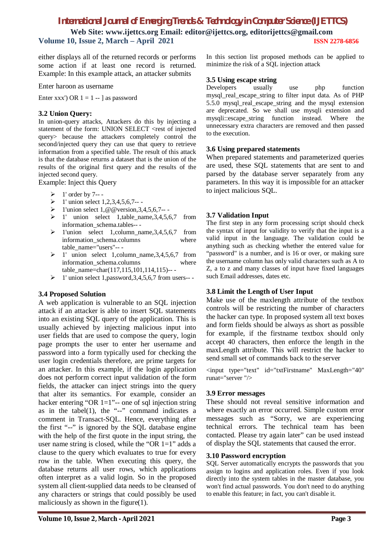# *International Journal of Emerging Trends & Technology in Computer Science (IJETTCS)*

**Web Site: www.ijettcs.org Email: editor@ijettcs.org, editorijettcs@gmail.com Volume 10, Issue 2, March – April 2021 ISSN 2278-6856**

either displays all of the returned records or performs some action if at least one record is returned. Example: In this example attack, an attacker submits

Enter haroon as username

Enter xxx') OR  $1 = 1 -$  as password

## **3.2 Union Query:**

In union-query attacks, Attackers do this by injecting a statement of the form: UNION SELECT <rest of injected query> because the attackers completely control the second/injected query they can use that query to retrieve information from a specified table. The result of this attack is that the database returns a dataset that is the union of the results of the original first query and the results of the injected second query.

Example: Inject this Query

- $\geq 1$ ' order by 7---
- $\geq 1$ ' union select 1,2,3,4,5,6,7--
- $\triangleright$  1'union select 1, @ @ version, 3,4, 5, 6, 7--
- $\geq 1'$  union select 1,table\_name, 3,4,5,6,7 from information\_schema.tables-- -
- $\geq 1'$ union select 1,column\_name,3,4,5,6,7 from information schema.columns where table\_name="users"-- -
- $\geq 1'$  union select 1, column\_name, 3,4, 5, 6, 7 from information schema.columns where table\_name=char(117,115,101,114,115)-- -
- $\geq 1$ ' union select 1,password, 3,4, 5, 6,7 from users---

# **3.4 Proposed Solution**

A web application is vulnerable to an SQL injection attack if an attacker is able to insert SQL statements into an existing SQL query of the application. This is usually achieved by injecting malicious input into user fields that are used to compose the query, login page prompts the user to enter her username and password into a form typically used for checking the user login credentials therefore, are prime targets for an attacker. In this example, if the login application does not perform correct input validation of the form fields, the attacker can inject strings into the query that alter its semantics. For example, consider an hacker entering "OR  $1=1$ "-- one of sql injection string as in the tabel $(1)$ , the "--" command indicates a comment in Transact-SQL. Hence, everything after the first "--" is ignored by the SQL database engine with the help of the first quote in the input string, the user name string is closed, while the "OR  $1=1$ " adds a clause to the query which evaluates to true for every row in the table. When executing this query, the database returns all user rows, which applications often interpret as a valid login. So in the proposed system all client-supplied data needs to be cleansed of any characters or strings that could possibly be used maliciously as shown in the figure(1).

In this section list proposed methods can be applied to minimize the risk of a SQL injection attack

## **3.5 Using escape string**

Developers usually use php function mysql\_real\_escape\_string to filter input data. As of PHP 5.5.0 mysql\_real\_escape\_string and the mysql extension are deprecated. So we shall use mysqli extension and mysqli::escape\_string function instead. Where the unnecessary extra characters are removed and then passed to the execution.

## **3.6 Using prepared statements**

When prepared statements and parameterized queries are used, these SQL statements that are sent to and parsed by the database server separately from any parameters. In this way it is impossible for an attacker to inject malicious SQL.

# **3.7 Validation Input**

The first step in any form processing script should check the syntax of input for validity to verify that the input is a valid input in the language. The validation could be anything such as checking whether the entered value for "password" is a number, and is 16 or over, or making sure the username column has only valid characters such as A to Z, a to z and many classes of input have fixed languages such Email addresses, dates etc.

# **3.8 Limit the Length of User Input**

Make use of the maxlength attribute of the textbox controls will be restricting the number of characters the hacker can type. In proposed system all text boxes and form fields should be always as short as possible for example, if the firstname textbox should only accept 40 characters, then enforce the length in the maxLength attribute. This will restrict the hacker to send small set of commands back to the server

<input type="text" id="txtFirstname" MaxLength="40" runat="server "/>

# **3.9 Error messages**

These should not reveal sensitive information and where exactly an error occurred. Simple custom error messages such as "Sorry, we are experiencing technical errors. The technical team has been contacted. Please try again later" can be used instead of display the SQL statements that caused the error.

# **3.10 Password encryption**

SQL Server automatically encrypts the passwords that you assign to logins and application roles. Even if you look directly into the system tables in the master database, you won't find actual passwords. You don't need to do anything to enable this feature; in fact, you can't disable it.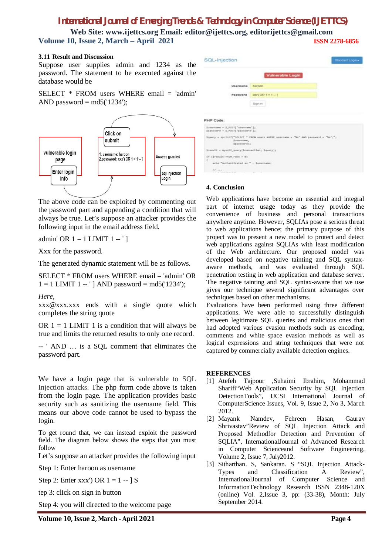# *International Journal of Emerging Trends & Technology in Computer Science (IJETTCS)*

**Web Site: www.ijettcs.org Email: editor@ijettcs.org, editorijettcs@gmail.com Volume 10, Issue 2, March – April 2021 ISSN 2278-6856**

#### **3.11 Result and Discussion**

Suppose user supplies admin and 1234 as the password. The statement to be executed against the database would be

SELECT  $*$  FROM users WHERE email  $=$  'admin' AND password  $=$  md5( $'1234'$ ):



The above code can be exploited by commenting out the password part and appending a condition that will always be true. Let's suppose an attacker provides the following input in the email address field.

admin' OR  $1 = 1$  LIMIT  $1 -$ ']

Xxx for the password.

The generated dynamic statement will be as follows.

SELECT \* FROM users WHERE email = 'admin' OR  $1 = 1$  LIMIT  $1 -$ '] AND password = md5('1234');

#### *Here,*

xxx@xxx.xxx ends with a single quote which completes the string quote

OR  $1 = 1$  LIMIT 1 is a condition that will always be true and limits the returned results to only one record.

-- ' AND … is a SQL comment that eliminates the password part.

We have a login page that is vulnerable to SQL Injection attacks. The php form code above is taken from the login page. The application provides basic security such as sanitizing the username field. This means our above code cannot be used to bypass the login.

To get round that, we can instead exploit the password field. The diagram below shows the steps that you must follow

Let's suppose an attacker provides the following input

Step 1: Enter haroon as username

Step 2: Enter xxx') OR  $1 = 1 -$  S

tep 3: click on sign in button

Step 4: you will directed to the welcome page





#### **4. Conclusion**

Web applications have become an essential and integral part of internet usage today as they provide the convenience of business and personal transactions anywhere anytime. However, SQLIAs pose a serious threat to web applications hence; the primary purpose of this project was to present a new model to protect and detect web applications against SQLIAs with least modification of the Web architecture. Our proposed model was developed based on negative tainting and SQL syntaxaware methods, and was evaluated through SQL penetration testing in web application and database server. The negative tainting and SQL syntax-aware that we use gives our technique several significant advantages over techniques based on other mechanisms.

Evaluations have been performed using three different applications. We were able to successfully distinguish between legitimate SQL queries and malicious ones that had adopted various evasion methods such as encoding, comments and white space evasion methods as well as logical expressions and string techniques that were not captured by commercially available detection engines.

#### **REFERENCES**

- [1] Atefeh Tajpour ,Suhaimi Ibrahim, Mohammad Sharifi"Web Application Security by SQL Injection DetectionTools", IJCSI International Journal of ComputerScience Issues, Vol. 9, Issue 2, No 3, March 2012.
- [2] Mayank Namdev, Fehreen Hasan, Gaurav Shrivastav"Review of SQL Injection Attack and Proposed Methodfor Detection and Prevention of SQLIA", InternationalJournal of Advanced Research in Computer Scienceand Software Engineering, Volume 2, Issue 7, July2012.
- [3] Sitharthan. S, Sankaran. S "SQL Injection Attack-Types and Classification A Review", InternationalJournal of Computer Science and InformationTechnology Research ISSN 2348-120X (online) Vol. 2,Issue 3, pp: (33-38), Month: July September 2014.